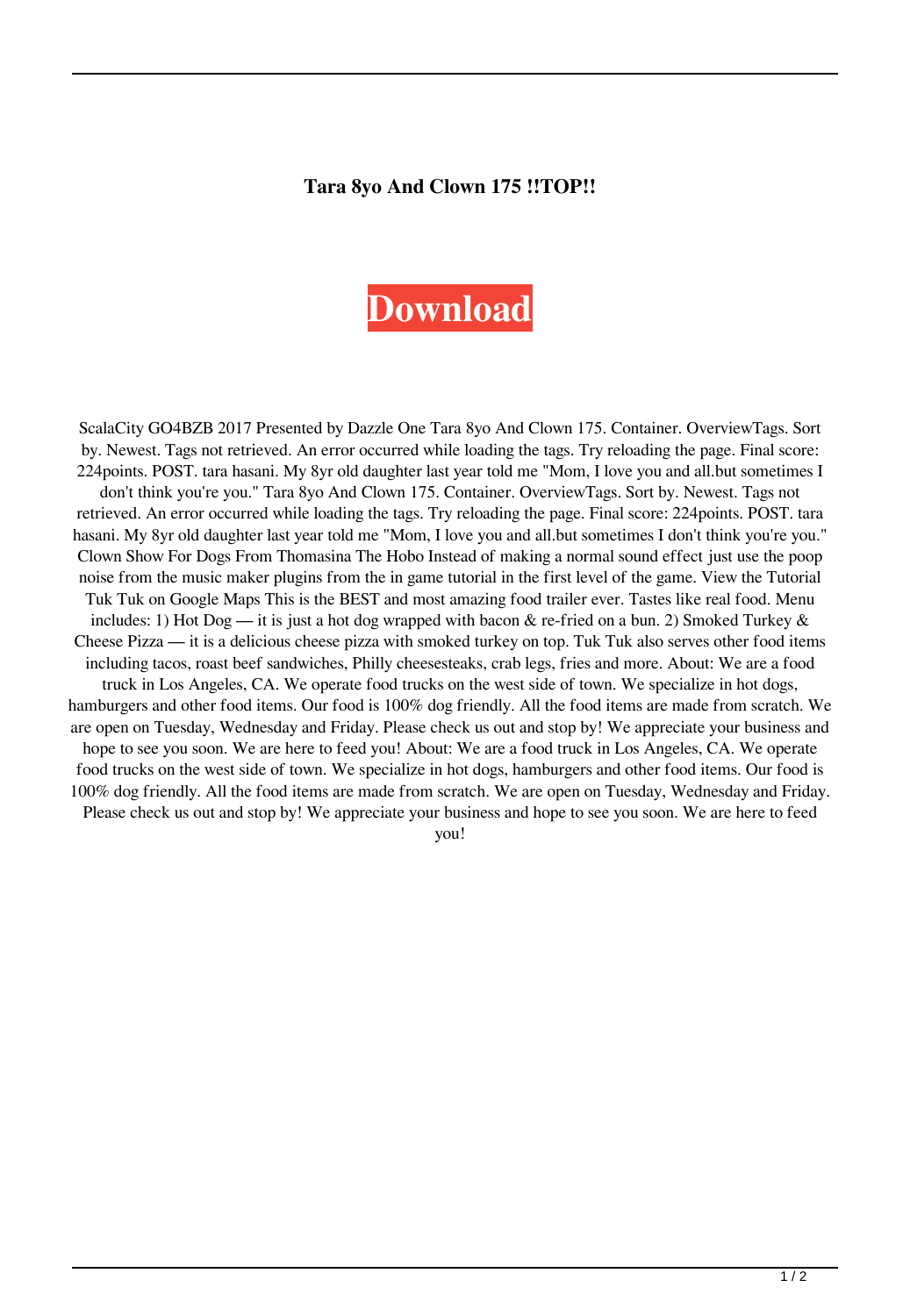## **Tara 8yo And Clown 175 !!TOP!!**



ScalaCity GO4BZB 2017 Presented by Dazzle One Tara 8yo And Clown 175. Container. OverviewTags. Sort by. Newest. Tags not retrieved. An error occurred while loading the tags. Try reloading the page. Final score: 224points. POST. tara hasani. My 8yr old daughter last year told me "Mom, I love you and all.but sometimes I don't think you're you." Tara 8yo And Clown 175. Container. OverviewTags. Sort by. Newest. Tags not retrieved. An error occurred while loading the tags. Try reloading the page. Final score: 224points. POST. tara hasani. My 8yr old daughter last year told me "Mom, I love you and all.but sometimes I don't think you're you." Clown Show For Dogs From Thomasina The Hobo Instead of making a normal sound effect just use the poop noise from the music maker plugins from the in game tutorial in the first level of the game. View the Tutorial Tuk Tuk on Google Maps This is the BEST and most amazing food trailer ever. Tastes like real food. Menu includes: 1) Hot Dog — it is just a hot dog wrapped with bacon & re-fried on a bun. 2) Smoked Turkey & Cheese Pizza — it is a delicious cheese pizza with smoked turkey on top. Tuk Tuk also serves other food items including tacos, roast beef sandwiches, Philly cheesesteaks, crab legs, fries and more. About: We are a food truck in Los Angeles, CA. We operate food trucks on the west side of town. We specialize in hot dogs, hamburgers and other food items. Our food is 100% dog friendly. All the food items are made from scratch. We are open on Tuesday, Wednesday and Friday. Please check us out and stop by! We appreciate your business and hope to see you soon. We are here to feed you! About: We are a food truck in Los Angeles, CA. We operate food trucks on the west side of town. We specialize in hot dogs, hamburgers and other food items. Our food is 100% dog friendly. All the food items are made from scratch. We are open on Tuesday, Wednesday and Friday. Please check us out and stop by! We appreciate your business and hope to see you soon. We are here to feed

you!